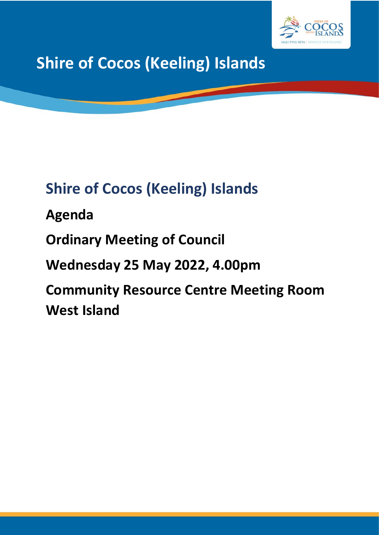

# **Shire of Cocos (Keeling) Islands**

## **Shire of Cocos (Keeling) Islands**

**Agenda**

**Ordinary Meeting of Council**

**Wednesday 25 May 2022, 4.00pm**

**Community Resource Centre Meeting Room West Island**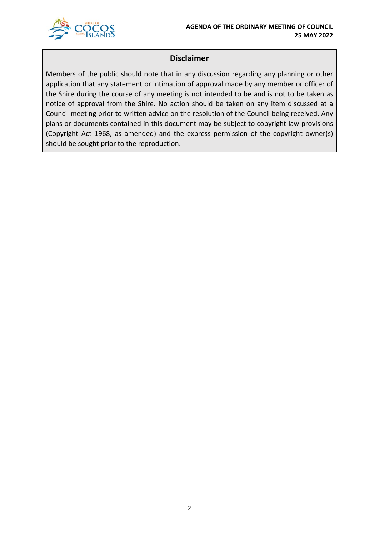

## **Disclaimer**

Members of the public should note that in any discussion regarding any planning or other application that any statement or intimation of approval made by any member or officer of the Shire during the course of any meeting is not intended to be and is not to be taken as notice of approval from the Shire. No action should be taken on any item discussed at a Council meeting prior to written advice on the resolution of the Council being received. Any plans or documents contained in this document may be subject to copyright law provisions (Copyright Act 1968, as amended) and the express permission of the copyright owner(s) should be sought prior to the reproduction.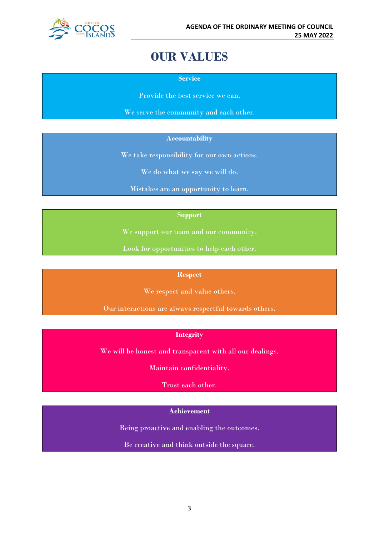

## **OUR VALUES**

**Service**

Provide the best service we can.

We serve the community and each other.

#### **Accountability**

We take responsibility for our own actions.

We do what we say we will do.

Mistakes are an opportunity to learn.

#### **Support**

We support our team and our community.

Look for opportunities to help each other.

#### **Respect**

We respect and value others.

Our interactions are always respectful towards others.

#### **Integrity**

We will be honest and transparent with all our dealings.

Maintain confidentiality.

Trust each other.

#### **Achievement**

Being proactive and enabling the outcomes.

Be creative and think outside the square.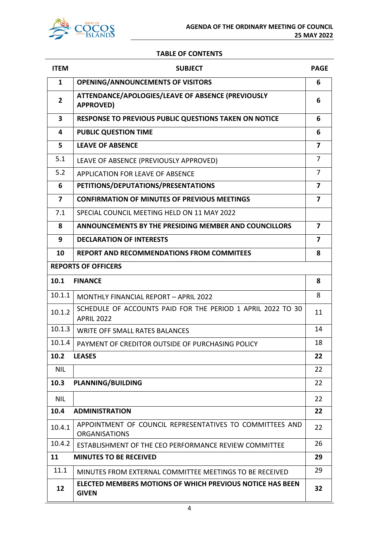

#### **TABLE OF CONTENTS**

| <b>ITEM</b>             | <b>SUBJECT</b>                                                                   | <b>PAGE</b>             |
|-------------------------|----------------------------------------------------------------------------------|-------------------------|
| $\mathbf{1}$            | <b>OPENING/ANNOUNCEMENTS OF VISITORS</b>                                         | 6                       |
| $\mathbf{2}$            | ATTENDANCE/APOLOGIES/LEAVE OF ABSENCE (PREVIOUSLY<br><b>APPROVED)</b>            | 6                       |
| $\overline{\mathbf{3}}$ | <b>RESPONSE TO PREVIOUS PUBLIC QUESTIONS TAKEN ON NOTICE</b>                     | 6                       |
| 4                       | <b>PUBLIC QUESTION TIME</b>                                                      | 6                       |
| 5                       | <b>LEAVE OF ABSENCE</b>                                                          | 7                       |
| 5.1                     | LEAVE OF ABSENCE (PREVIOUSLY APPROVED)                                           | 7                       |
| 5.2                     | APPLICATION FOR LEAVE OF ABSENCE                                                 | $\overline{7}$          |
| 6                       | PETITIONS/DEPUTATIONS/PRESENTATIONS                                              | $\overline{\mathbf{z}}$ |
| 7                       | <b>CONFIRMATION OF MINUTES OF PREVIOUS MEETINGS</b>                              | $\overline{\mathbf{z}}$ |
| 7.1                     | SPECIAL COUNCIL MEETING HELD ON 11 MAY 2022                                      |                         |
| 8                       | ANNOUNCEMENTS BY THE PRESIDING MEMBER AND COUNCILLORS                            | 7                       |
| 9                       | <b>DECLARATION OF INTERESTS</b>                                                  | $\overline{\mathbf{z}}$ |
| 10                      | <b>REPORT AND RECOMMENDATIONS FROM COMMITEES</b>                                 | 8                       |
|                         | <b>REPORTS OF OFFICERS</b>                                                       |                         |
| 10.1                    | <b>FINANCE</b>                                                                   | 8                       |
| 10.1.1                  | <b>MONTHLY FINANCIAL REPORT - APRIL 2022</b>                                     | 8                       |
| 10.1.2                  | SCHEDULE OF ACCOUNTS PAID FOR THE PERIOD 1 APRIL 2022 TO 30<br><b>APRIL 2022</b> | 11                      |
| 10.1.3                  | <b>WRITE OFF SMALL RATES BALANCES</b>                                            | 14                      |
| 10.1.4                  | PAYMENT OF CREDITOR OUTSIDE OF PURCHASING POLICY                                 | 18                      |
| 10.2                    | <b>LEASES</b>                                                                    | 22                      |
| <b>NIL</b>              |                                                                                  | 22                      |
| 10.3                    | <b>PLANNING/BUILDING</b>                                                         | 22                      |
| <b>NIL</b>              |                                                                                  | 22                      |
| 10.4                    | <b>ADMINISTRATION</b>                                                            | 22                      |
| 10.4.1                  | APPOINTMENT OF COUNCIL REPRESENTATIVES TO COMMITTEES AND<br><b>ORGANISATIONS</b> | 22                      |
| 10.4.2                  | ESTABLISHMENT OF THE CEO PERFORMANCE REVIEW COMMITTEE                            | 26                      |
| 11                      | <b>MINUTES TO BE RECEIVED</b>                                                    | 29                      |
| 11.1                    | MINUTES FROM EXTERNAL COMMITTEE MEETINGS TO BE RECEIVED                          | 29                      |
| 12                      | <b>ELECTED MEMBERS MOTIONS OF WHICH PREVIOUS NOTICE HAS BEEN</b><br><b>GIVEN</b> | 32                      |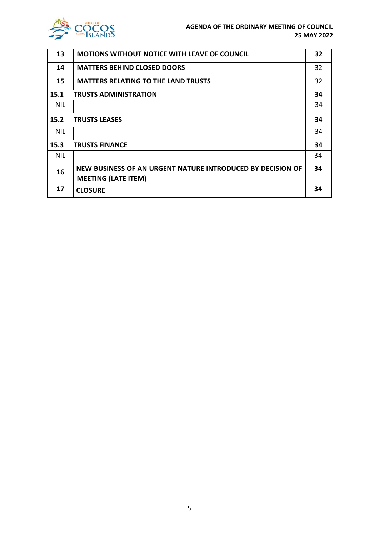

| 13         | <b>MOTIONS WITHOUT NOTICE WITH LEAVE OF COUNCIL</b>        | 32 |
|------------|------------------------------------------------------------|----|
| 14         | <b>MATTERS BEHIND CLOSED DOORS</b>                         | 32 |
| 15         | <b>MATTERS RELATING TO THE LAND TRUSTS</b>                 | 32 |
| 15.1       | <b>TRUSTS ADMINISTRATION</b>                               | 34 |
| <b>NIL</b> |                                                            | 34 |
| 15.2       | <b>TRUSTS LEASES</b>                                       | 34 |
| <b>NIL</b> |                                                            | 34 |
| 15.3       | <b>TRUSTS FINANCE</b>                                      | 34 |
| <b>NIL</b> |                                                            | 34 |
| 16         | NEW BUSINESS OF AN URGENT NATURE INTRODUCED BY DECISION OF | 34 |
|            | <b>MEETING (LATE ITEM)</b>                                 |    |
| 17         | <b>CLOSURE</b>                                             | 34 |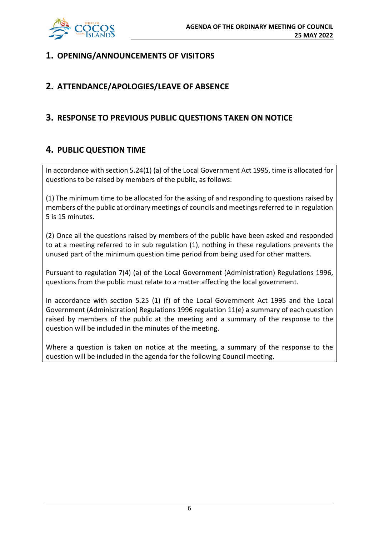

## **1. OPENING/ANNOUNCEMENTS OF VISITORS**

## **2. ATTENDANCE/APOLOGIES/LEAVE OF ABSENCE**

## **3. RESPONSE TO PREVIOUS PUBLIC QUESTIONS TAKEN ON NOTICE**

## **4. PUBLIC QUESTION TIME**

In accordance with section 5.24(1) (a) of the Local Government Act 1995, time is allocated for questions to be raised by members of the public, as follows:

(1) The minimum time to be allocated for the asking of and responding to questions raised by members of the public at ordinary meetings of councils and meetings referred to in regulation 5 is 15 minutes.

(2) Once all the questions raised by members of the public have been asked and responded to at a meeting referred to in sub regulation (1), nothing in these regulations prevents the unused part of the minimum question time period from being used for other matters.

Pursuant to regulation 7(4) (a) of the Local Government (Administration) Regulations 1996, questions from the public must relate to a matter affecting the local government.

In accordance with section 5.25 (1) (f) of the Local Government Act 1995 and the Local Government (Administration) Regulations 1996 regulation 11(e) a summary of each question raised by members of the public at the meeting and a summary of the response to the question will be included in the minutes of the meeting.

Where a question is taken on notice at the meeting, a summary of the response to the question will be included in the agenda for the following Council meeting.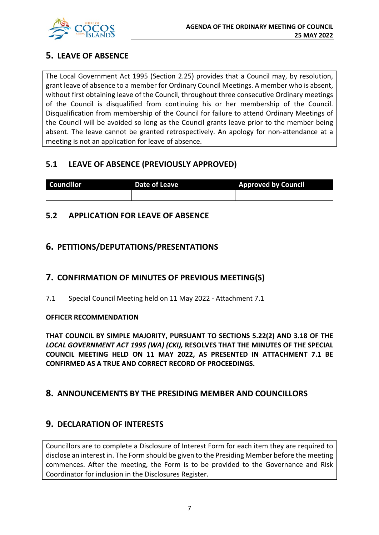

## **5. LEAVE OF ABSENCE**

The Local Government Act 1995 (Section 2.25) provides that a Council may, by resolution, grant leave of absence to a member for Ordinary Council Meetings. A member who is absent, without first obtaining leave of the Council, throughout three consecutive Ordinary meetings of the Council is disqualified from continuing his or her membership of the Council. Disqualification from membership of the Council for failure to attend Ordinary Meetings of the Council will be avoided so long as the Council grants leave prior to the member being absent. The leave cannot be granted retrospectively. An apology for non-attendance at a meeting is not an application for leave of absence.

## **5.1 LEAVE OF ABSENCE (PREVIOUSLY APPROVED)**

| <b>Councillor</b> | Date of Leave | <b>Approved by Council</b> |
|-------------------|---------------|----------------------------|
|                   |               |                            |

## **5.2 APPLICATION FOR LEAVE OF ABSENCE**

## **6. PETITIONS/DEPUTATIONS/PRESENTATIONS**

## **7. CONFIRMATION OF MINUTES OF PREVIOUS MEETING(S)**

7.1 Special Council Meeting held on 11 May 2022 - Attachment 7.1

#### **OFFICER RECOMMENDATION**

**THAT COUNCIL BY SIMPLE MAJORITY, PURSUANT TO SECTIONS 5.22(2) AND 3.18 OF THE**  *LOCAL GOVERNMENT ACT 1995 (WA) (CKI),* **RESOLVES THAT THE MINUTES OF THE SPECIAL COUNCIL MEETING HELD ON 11 MAY 2022, AS PRESENTED IN ATTACHMENT 7.1 BE CONFIRMED AS A TRUE AND CORRECT RECORD OF PROCEEDINGS.**

## **8. ANNOUNCEMENTS BY THE PRESIDING MEMBER AND COUNCILLORS**

## **9. DECLARATION OF INTERESTS**

Councillors are to complete a Disclosure of Interest Form for each item they are required to disclose an interest in. The Form should be given to the Presiding Member before the meeting commences. After the meeting, the Form is to be provided to the Governance and Risk Coordinator for inclusion in the Disclosures Register.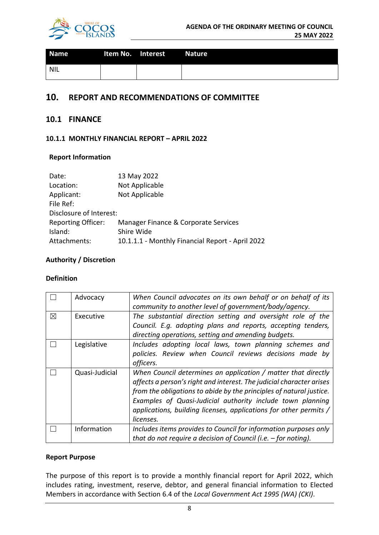

| <b>Name</b> | Item No. Interest<br>a na m | <b>Nature</b> |
|-------------|-----------------------------|---------------|
| NIL         |                             |               |

## **10. REPORT AND RECOMMENDATIONS OF COMMITTEE**

#### **10.1 FINANCE**

#### **10.1.1 MONTHLY FINANCIAL REPORT – APRIL 2022**

#### **Report Information**

| Date:                     | 13 May 2022                                      |
|---------------------------|--------------------------------------------------|
| Location:                 | Not Applicable                                   |
| Applicant:                | Not Applicable                                   |
| File Ref:                 |                                                  |
| Disclosure of Interest:   |                                                  |
| <b>Reporting Officer:</b> | Manager Finance & Corporate Services             |
| Island:                   | Shire Wide                                       |
| Attachments:              | 10.1.1.1 - Monthly Financial Report - April 2022 |

#### **Authority / Discretion**

#### **Definition**

|             | Advocacy       | When Council advocates on its own behalf or on behalf of its<br>community to another level of government/body/agency.                                                                                                                                                                                                                                        |
|-------------|----------------|--------------------------------------------------------------------------------------------------------------------------------------------------------------------------------------------------------------------------------------------------------------------------------------------------------------------------------------------------------------|
| $\boxtimes$ | Executive      | The substantial direction setting and oversight role of the<br>Council. E.g. adopting plans and reports, accepting tenders,<br>directing operations, setting and amending budgets.                                                                                                                                                                           |
|             | Legislative    | Includes adopting local laws, town planning schemes and<br>policies. Review when Council reviews decisions made by<br>officers.                                                                                                                                                                                                                              |
|             | Quasi-Judicial | When Council determines an application / matter that directly<br>affects a person's right and interest. The judicial character arises<br>from the obligations to abide by the principles of natural justice.<br>Examples of Quasi-Judicial authority include town planning<br>applications, building licenses, applications for other permits /<br>licenses. |
|             | Information    | Includes items provides to Council for information purposes only<br>that do not require a decision of Council (i.e. $-$ for noting).                                                                                                                                                                                                                         |

#### **Report Purpose**

The purpose of this report is to provide a monthly financial report for April 2022, which includes rating, investment, reserve, debtor, and general financial information to Elected Members in accordance with Section 6.4 of the *Local Government Act 1995 (WA) (CKI)*.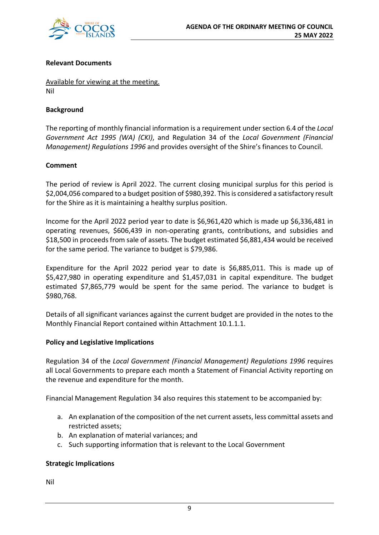

#### **Relevant Documents**

Available for viewing at the meeting. Nil

#### **Background**

The reporting of monthly financial information is a requirement under section 6.4 of the *Local Government Act 1995 (WA) (CKI)*, and Regulation 34 of the *Local Government (Financial Management) Regulations 1996* and provides oversight of the Shire's finances to Council.

#### **Comment**

The period of review is April 2022. The current closing municipal surplus for this period is \$2,004,056 compared to a budget position of \$980,392. This is considered a satisfactory result for the Shire as it is maintaining a healthy surplus position.

Income for the April 2022 period year to date is \$6,961,420 which is made up \$6,336,481 in operating revenues, \$606,439 in non-operating grants, contributions, and subsidies and \$18,500 in proceeds from sale of assets. The budget estimated \$6,881,434 would be received for the same period. The variance to budget is \$79,986.

Expenditure for the April 2022 period year to date is \$6,885,011. This is made up of \$5,427,980 in operating expenditure and \$1,457,031 in capital expenditure. The budget estimated \$7,865,779 would be spent for the same period. The variance to budget is \$980,768.

Details of all significant variances against the current budget are provided in the notes to the Monthly Financial Report contained within Attachment 10.1.1.1.

#### **Policy and Legislative Implications**

Regulation 34 of the *Local Government (Financial Management) Regulations 1996* requires all Local Governments to prepare each month a Statement of Financial Activity reporting on the revenue and expenditure for the month.

Financial Management Regulation 34 also requires this statement to be accompanied by:

- a. An explanation of the composition of the net current assets, less committal assets and restricted assets;
- b. An explanation of material variances; and
- c. Such supporting information that is relevant to the Local Government

#### **Strategic Implications**

Nil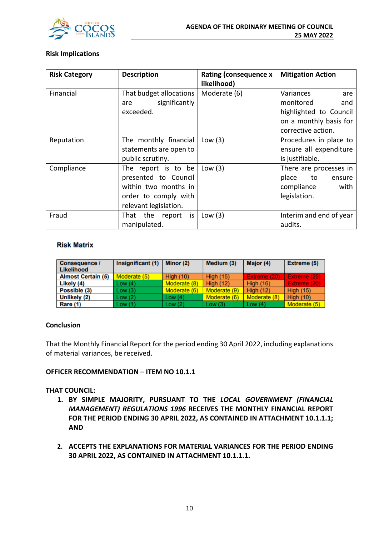

#### **Risk Implications**

| <b>Risk Category</b> | <b>Description</b>                                                                                                   | <b>Rating (consequence x</b><br>likelihood) | <b>Mitigation Action</b>                                                                  |
|----------------------|----------------------------------------------------------------------------------------------------------------------|---------------------------------------------|-------------------------------------------------------------------------------------------|
| Financial            | That budget allocations<br>significantly<br>are<br>exceeded.                                                         | Moderate (6)                                | Variances<br>are<br>monitored<br>and<br>highlighted to Council<br>on a monthly basis for  |
| Reputation           | The monthly financial<br>statements are open to<br>public scrutiny.                                                  | Low $(3)$                                   | corrective action.<br>Procedures in place to<br>ensure all expenditure<br>is justifiable. |
| Compliance           | The report is to be<br>presented to Council<br>within two months in<br>order to comply with<br>relevant legislation. | Low $(3)$                                   | There are processes in<br>place<br>to<br>ensure<br>compliance<br>with<br>legislation.     |
| Fraud                | That the report is<br>manipulated.                                                                                   | Low $(3)$                                   | Interim and end of year<br>audits.                                                        |

#### **Risk Matrix**

| <b>Consequence /</b><br>Likelihood | Insignificant (1) | Minor (2)    | Medium (3)       | Major (4)        | Extreme (5)      |
|------------------------------------|-------------------|--------------|------------------|------------------|------------------|
| <b>Almost Certain (5)</b>          | Moderate (5)      | High $(10)$  | <b>High (15)</b> | Extreme (20)     | Extreme (25)     |
| Likely (4)                         | Low(4)            | Moderate (8) | High $(12)$      | High $(16)$      | Extreme (20)     |
| Possible (3)                       | Low(3)            | Moderate (6) | Moderate (9)     | <b>High (12)</b> | <b>High (15)</b> |
| Unlikely (2)                       | Low(2)            | Low $(4)$    | Moderate (6)     | Moderate (8)     | <b>High (10)</b> |
| Rare (1)                           | Low(1)            | Low(2)       | Low(3)           | Low $(4)$        | Moderate (5)     |

#### **Conclusion**

That the Monthly Financial Report for the period ending 30 April 2022, including explanations of material variances, be received.

#### **OFFICER RECOMMENDATION – ITEM NO 10.1.1**

#### **THAT COUNCIL:**

- **1. BY SIMPLE MAJORITY, PURSUANT TO THE** *LOCAL GOVERNMENT (FINANCIAL MANAGEMENT) REGULATIONS 1996* **RECEIVES THE MONTHLY FINANCIAL REPORT FOR THE PERIOD ENDING 30 APRIL 2022, AS CONTAINED IN ATTACHMENT 10.1.1.1; AND**
- **2. ACCEPTS THE EXPLANATIONS FOR MATERIAL VARIANCES FOR THE PERIOD ENDING 30 APRIL 2022, AS CONTAINED IN ATTACHMENT 10.1.1.1.**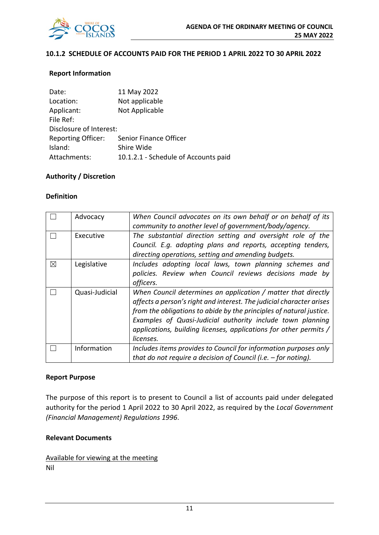

#### **10.1.2 SCHEDULE OF ACCOUNTS PAID FOR THE PERIOD 1 APRIL 2022 TO 30 APRIL 2022**

#### **Report Information**

| Date:                     | 11 May 2022                          |
|---------------------------|--------------------------------------|
| Location:                 | Not applicable                       |
| Applicant:                | Not Applicable                       |
| File Ref:                 |                                      |
| Disclosure of Interest:   |                                      |
| <b>Reporting Officer:</b> | Senior Finance Officer               |
| Island:                   | Shire Wide                           |
| Attachments:              | 10.1.2.1 - Schedule of Accounts paid |

#### **Authority / Discretion**

#### **Definition**

|             | Advocacy       | When Council advocates on its own behalf or on behalf of its<br>community to another level of government/body/agency.                                                                                                                                                                                                                                        |
|-------------|----------------|--------------------------------------------------------------------------------------------------------------------------------------------------------------------------------------------------------------------------------------------------------------------------------------------------------------------------------------------------------------|
|             | Executive      | The substantial direction setting and oversight role of the<br>Council. E.g. adopting plans and reports, accepting tenders,<br>directing operations, setting and amending budgets.                                                                                                                                                                           |
| $\boxtimes$ | Legislative    | Includes adopting local laws, town planning schemes and<br>policies. Review when Council reviews decisions made by<br>officers.                                                                                                                                                                                                                              |
|             | Quasi-Judicial | When Council determines an application / matter that directly<br>affects a person's right and interest. The judicial character arises<br>from the obligations to abide by the principles of natural justice.<br>Examples of Quasi-Judicial authority include town planning<br>applications, building licenses, applications for other permits /<br>licenses. |
|             | Information    | Includes items provides to Council for information purposes only<br>that do not require a decision of Council (i.e. $-$ for noting).                                                                                                                                                                                                                         |

#### **Report Purpose**

The purpose of this report is to present to Council a list of accounts paid under delegated authority for the period 1 April 2022 to 30 April 2022, as required by the *Local Government (Financial Management) Regulations 1996*.

#### **Relevant Documents**

Available for viewing at the meeting Nil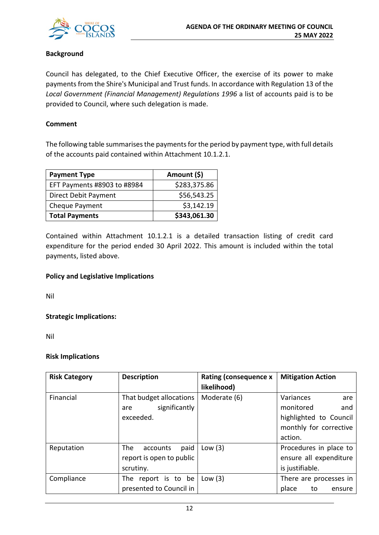

#### **Background**

Council has delegated, to the Chief Executive Officer, the exercise of its power to make payments from the Shire's Municipal and Trust funds. In accordance with Regulation 13 of the *Local Government (Financial Management) Regulations 1996* a list of accounts paid is to be provided to Council, where such delegation is made.

#### **Comment**

The following table summarises the payments for the period by payment type, with full details of the accounts paid contained within Attachment 10.1.2.1.

| <b>Payment Type</b>         | Amount (\$)  |
|-----------------------------|--------------|
| EFT Payments #8903 to #8984 | \$283,375.86 |
| Direct Debit Payment        | \$56,543.25  |
| Cheque Payment              | \$3,142.19   |
| <b>Total Payments</b>       | \$343,061.30 |

Contained within Attachment 10.1.2.1 is a detailed transaction listing of credit card expenditure for the period ended 30 April 2022. This amount is included within the total payments, listed above.

#### **Policy and Legislative Implications**

Nil

**Strategic Implications:**

Nil

#### **Risk Implications**

| <b>Risk Category</b> | <b>Description</b>       | <b>Rating (consequence x</b><br>likelihood) | <b>Mitigation Action</b> |
|----------------------|--------------------------|---------------------------------------------|--------------------------|
| Financial            | That budget allocations  | Moderate (6)                                | Variances<br>are         |
|                      | significantly<br>are     |                                             | monitored<br>and         |
|                      | exceeded.                |                                             | highlighted to Council   |
|                      |                          |                                             | monthly for corrective   |
|                      |                          |                                             | action.                  |
| Reputation           | The<br>paid<br>accounts  | Low $(3)$                                   | Procedures in place to   |
|                      | report is open to public |                                             | ensure all expenditure   |
|                      | scrutiny.                |                                             | is justifiable.          |
| Compliance           | The report is to be      | Low $(3)$                                   | There are processes in   |
|                      | presented to Council in  |                                             | place<br>to<br>ensure    |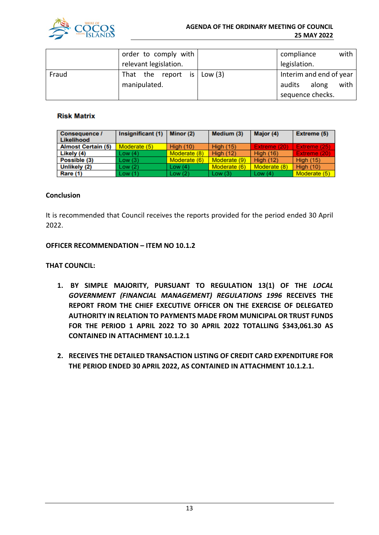

|       | order to comply with  |  |  |  |                                    |                         |       | compliance |  | with |
|-------|-----------------------|--|--|--|------------------------------------|-------------------------|-------|------------|--|------|
|       | relevant legislation. |  |  |  |                                    | legislation.            |       |            |  |      |
| Fraud |                       |  |  |  | That the report is $\vert$ Low (3) | Interim and end of year |       |            |  |      |
|       | manipulated.          |  |  |  |                                    | audits                  | along | with       |  |      |
|       |                       |  |  |  |                                    | sequence checks.        |       |            |  |      |

#### **Risk Matrix**

| <b>Consequence /</b><br>Likelihood | Insignificant (1) | Minor $(2)$      | Medium (3)       | Major (4)        | Extreme (5)      |
|------------------------------------|-------------------|------------------|------------------|------------------|------------------|
| <b>Almost Certain (5)</b>          | Moderate (5)      | <b>High (10)</b> | <b>High (15)</b> | Extreme (20)     | Extreme (25)     |
| Likely (4)                         | Low(4)            | Moderate (8)     | <b>High (12)</b> | <b>High (16)</b> | Extreme (20)     |
| Possible (3)                       | Low(3)            | Moderate (6)     | Moderate (9)     | <b>High (12)</b> | <b>High (15)</b> |
| Unlikely (2)                       | Low(2)            | Low $(4)$        | Moderate (6)     | Moderate (8)     | <b>High (10)</b> |
| <b>Rare (1)</b>                    | Low(1)            | Low $(2)$        | Low(3)           | Low $(4)$        | Moderate (5)     |

#### **Conclusion**

It is recommended that Council receives the reports provided for the period ended 30 April 2022.

#### **OFFICER RECOMMENDATION – ITEM NO 10.1.2**

#### **THAT COUNCIL:**

- **1. BY SIMPLE MAJORITY, PURSUANT TO REGULATION 13(1) OF THE** *LOCAL GOVERNMENT (FINANCIAL MANAGEMENT) REGULATIONS 1996* **RECEIVES THE REPORT FROM THE CHIEF EXECUTIVE OFFICER ON THE EXERCISE OF DELEGATED AUTHORITY IN RELATION TO PAYMENTS MADE FROM MUNICIPAL OR TRUST FUNDS FOR THE PERIOD 1 APRIL 2022 TO 30 APRIL 2022 TOTALLING \$343,061.30 AS CONTAINED IN ATTACHMENT 10.1.2.1**
- **2. RECEIVES THE DETAILED TRANSACTION LISTING OF CREDIT CARD EXPENDITURE FOR THE PERIOD ENDED 30 APRIL 2022, AS CONTAINED IN ATTACHMENT 10.1.2.1.**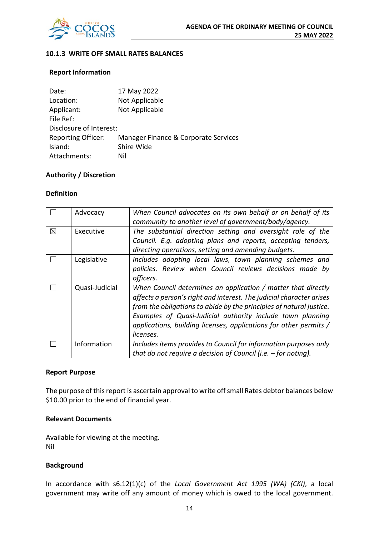

#### **10.1.3 WRITE OFF SMALL RATES BALANCES**

#### **Report Information**

| Date:                     | 17 May 2022                          |
|---------------------------|--------------------------------------|
| Location:                 | Not Applicable                       |
| Applicant:                | Not Applicable                       |
| File Ref:                 |                                      |
| Disclosure of Interest:   |                                      |
| <b>Reporting Officer:</b> | Manager Finance & Corporate Services |
| Island:                   | Shire Wide                           |
| Attachments:              | Nil                                  |
|                           |                                      |

#### **Authority / Discretion**

#### **Definition**

|             | Advocacy       | When Council advocates on its own behalf or on behalf of its<br>community to another level of government/body/agency. |  |  |  |  |
|-------------|----------------|-----------------------------------------------------------------------------------------------------------------------|--|--|--|--|
|             |                |                                                                                                                       |  |  |  |  |
| $\boxtimes$ | Executive      | The substantial direction setting and oversight role of the                                                           |  |  |  |  |
|             |                | Council. E.g. adopting plans and reports, accepting tenders,                                                          |  |  |  |  |
|             |                | directing operations, setting and amending budgets.                                                                   |  |  |  |  |
|             | Legislative    | Includes adopting local laws, town planning schemes and                                                               |  |  |  |  |
|             |                | policies. Review when Council reviews decisions made by                                                               |  |  |  |  |
|             |                | officers.                                                                                                             |  |  |  |  |
|             | Quasi-Judicial | When Council determines an application / matter that directly                                                         |  |  |  |  |
|             |                | affects a person's right and interest. The judicial character arises                                                  |  |  |  |  |
|             |                | from the obligations to abide by the principles of natural justice.                                                   |  |  |  |  |
|             |                | Examples of Quasi-Judicial authority include town planning                                                            |  |  |  |  |
|             |                | applications, building licenses, applications for other permits /                                                     |  |  |  |  |
|             |                | licenses.                                                                                                             |  |  |  |  |
|             | Information    | Includes items provides to Council for information purposes only                                                      |  |  |  |  |
|             |                | that do not require a decision of Council (i.e. $-$ for noting).                                                      |  |  |  |  |

#### **Report Purpose**

The purpose of this report is ascertain approval to write off small Rates debtor balances below \$10.00 prior to the end of financial year.

#### **Relevant Documents**

Available for viewing at the meeting. Nil

#### **Background**

In accordance with s6.12(1)(c) of the *Local Government Act 1995 (WA) (CKI)*, a local government may write off any amount of money which is owed to the local government.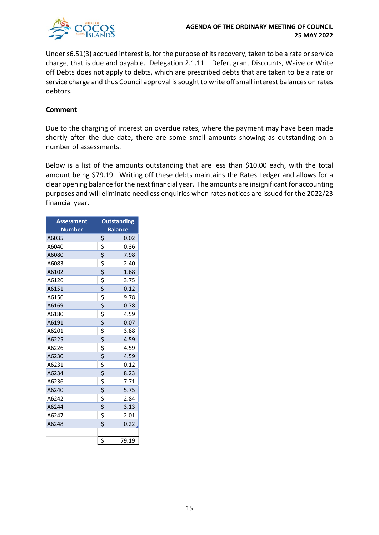

Under s6.51(3) accrued interest is, for the purpose of its recovery, taken to be a rate or service charge, that is due and payable. Delegation 2.1.11 – Defer, grant Discounts, Waive or Write off Debts does not apply to debts, which are prescribed debts that are taken to be a rate or service charge and thus Council approval is sought to write off small interest balances on rates debtors.

#### **Comment**

Due to the charging of interest on overdue rates, where the payment may have been made shortly after the due date, there are some small amounts showing as outstanding on a number of assessments.

Below is a list of the amounts outstanding that are less than \$10.00 each, with the total amount being \$79.19. Writing off these debts maintains the Rates Ledger and allows for a clear opening balance for the next financial year. The amounts are insignificant for accounting purposes and will eliminate needless enquiries when rates notices are issued for the 2022/23 financial year.

| <b>Assessment</b> |                                 | <b>Outstanding</b> |
|-------------------|---------------------------------|--------------------|
| <b>Number</b>     |                                 | <b>Balance</b>     |
| A6035             | \$                              | 0.02               |
| A6040             | \$                              | 0.36               |
| A6080             | \$                              | 7.98               |
| A6083             |                                 | 2.40               |
| A6102             | $rac{5}{5}$                     | 1.68               |
| A6126             |                                 | 3.75               |
| A6151             | \$                              | 0.12               |
| A6156             | $\overline{\boldsymbol{\zeta}}$ | 9.78               |
| A6169             | \$                              | 0.78               |
| A6180             | $\frac{1}{2}$                   | 4.59               |
| A6191             |                                 | 0.07               |
| A6201             | $\frac{1}{2}$                   | 3.88               |
| A6225             |                                 | 4.59               |
| A6226             | $\frac{1}{2}$                   | 4.59               |
| A6230             |                                 | 4.59               |
| A6231             | \$<br>\$                        | 0.12               |
| A6234             |                                 | 8.23               |
| A6236             | \$                              | 7.71               |
| A6240             | \$                              | 5.75               |
| A6242             | $\overline{\mathsf{S}}$         | 2.84               |
| A6244             | \$                              | 3.13               |
| A6247             | \$                              | 2.01               |
| A6248             | \$                              | 0.22               |
|                   |                                 |                    |
|                   | \$                              | 79.19              |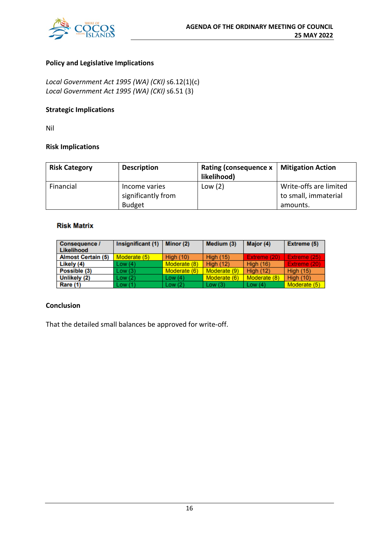

#### **Policy and Legislative Implications**

*Local Government Act 1995 (WA) (CKI)* s6.12(1)(c) *Local Government Act 1995 (WA) (CKI)* s6.51 (3)

## **Strategic Implications**

Nil

#### **Risk Implications**

| <b>Risk Category</b> | <b>Description</b> | Rating (consequence $x \mid$<br>likelihood) | <b>Mitigation Action</b> |
|----------------------|--------------------|---------------------------------------------|--------------------------|
| Financial            | Income varies      | Low(2)                                      | Write-offs are limited   |
|                      | significantly from |                                             | to small, immaterial     |
|                      | <b>Budget</b>      |                                             | amounts.                 |

#### **Risk Matrix**

| <b>Consequence /</b><br>Likelihood | Insignificant (1) | Minor (2)    | Medium (3)       | Major (4)        | Extreme (5)      |
|------------------------------------|-------------------|--------------|------------------|------------------|------------------|
| <b>Almost Certain (5)</b>          | Moderate (5)      | High $(10)$  | <b>High (15)</b> | Extreme (20)     | Extreme (25)     |
| Likely (4)                         | Low(4)            | Moderate (8) | <b>High (12)</b> | <b>High (16)</b> | Extreme (20)     |
| Possible (3)                       | Low(3)            | Moderate (6) | Moderate (9)     | <b>High (12)</b> | <b>High (15)</b> |
| Unlikely (2)                       | Low(2)            | Low $(4)$    | Moderate (6)     | Moderate (8)     | <b>High (10)</b> |
| Rare (1)                           | Low(1)            | Low $(2)$    | Low $(3)$        | Low $(4)$        | Moderate (5)     |

#### **Conclusion**

That the detailed small balances be approved for write-off.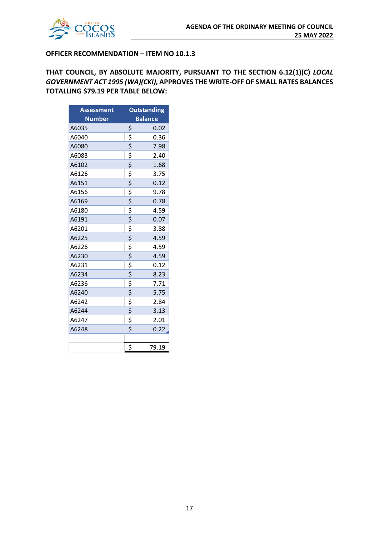

#### **OFFICER RECOMMENDATION – ITEM NO 10.1.3**

**THAT COUNCIL, BY ABSOLUTE MAJORITY, PURSUANT TO THE SECTION 6.12(1)(C)** *LOCAL GOVERNMENT ACT 1995 (WA)(CKI),* **APPROVES THE WRITE-OFF OF SMALL RATES BALANCES TOTALLING \$79.19 PER TABLE BELOW:**

| <b>Assessment</b> |                                     | <b>Outstanding</b> |  |
|-------------------|-------------------------------------|--------------------|--|
| <b>Number</b>     | <b>Balance</b>                      |                    |  |
| A6035             | \$                                  | 0.02               |  |
| A6040             | \$                                  | 0.36               |  |
| A6080             | \$                                  | 7.98               |  |
| A6083             | $rac{5}{5}$                         | 2.40               |  |
| A6102             |                                     | 1.68               |  |
| A6126             | \$                                  | 3.75               |  |
| A6151             | \$                                  | 0.12               |  |
| A6156             | \$                                  | 9.78               |  |
| A6169             | $\overline{\xi}$                    | 0.78               |  |
| A6180             | $\overline{\mathsf{S}}$             | 4.59               |  |
| A6191             | $\overline{\xi}$                    | 0.07               |  |
| A6201             | $\overline{\mathsf{S}}$             | 3.88               |  |
| A6225             | $\overline{\mathsf{S}}$             | 4.59               |  |
| A6226             | $\frac{5}{5}$                       | 4.59               |  |
| A6230             |                                     | 4.59               |  |
| A6231             | $\frac{1}{2}$                       | 0.12               |  |
| A6234             | \$                                  | 8.23               |  |
| A6236             | $\frac{1}{2}$                       | 7.71               |  |
| A6240             |                                     | 5.75               |  |
| A6242             | $\overline{\mathsf{S}}$             | 2.84               |  |
| A6244             | \$                                  | 3.13               |  |
| A6247             | \$                                  | 2.01               |  |
| A6248             | $\overline{\boldsymbol{\varsigma}}$ | 0.22               |  |
|                   |                                     |                    |  |
|                   | \$                                  | 79.19              |  |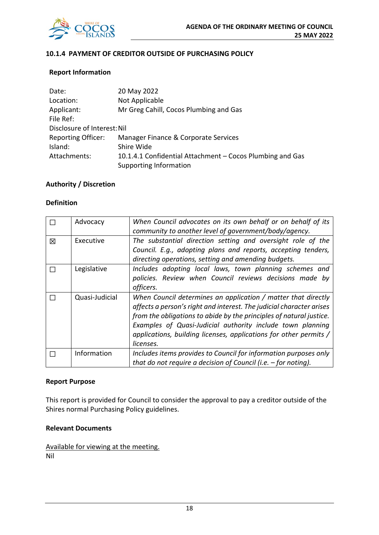

#### **10.1.4 PAYMENT OF CREDITOR OUTSIDE OF PURCHASING POLICY**

#### **Report Information**

| Date:                       | 20 May 2022                                               |
|-----------------------------|-----------------------------------------------------------|
| Location:                   | Not Applicable                                            |
| Applicant:                  | Mr Greg Cahill, Cocos Plumbing and Gas                    |
| File Ref:                   |                                                           |
| Disclosure of Interest: Nil |                                                           |
| <b>Reporting Officer:</b>   | Manager Finance & Corporate Services                      |
| Island:                     | Shire Wide                                                |
| Attachments:                | 10.1.4.1 Confidential Attachment – Cocos Plumbing and Gas |
|                             | <b>Supporting Information</b>                             |

#### **Authority / Discretion**

#### **Definition**

|   | Advocacy       | When Council advocates on its own behalf or on behalf of its<br>community to another level of government/body/agency.                                                                                                                                                                                                                                        |
|---|----------------|--------------------------------------------------------------------------------------------------------------------------------------------------------------------------------------------------------------------------------------------------------------------------------------------------------------------------------------------------------------|
| 区 | Executive      | The substantial direction setting and oversight role of the<br>Council. E.g., adopting plans and reports, accepting tenders,<br>directing operations, setting and amending budgets.                                                                                                                                                                          |
|   | Legislative    | Includes adopting local laws, town planning schemes and<br>policies. Review when Council reviews decisions made by<br>officers.                                                                                                                                                                                                                              |
|   | Quasi-Judicial | When Council determines an application / matter that directly<br>affects a person's right and interest. The judicial character arises<br>from the obligations to abide by the principles of natural justice.<br>Examples of Quasi-Judicial authority include town planning<br>applications, building licenses, applications for other permits /<br>licenses. |
|   | Information    | Includes items provides to Council for information purposes only<br>that do not require a decision of Council (i.e. $-$ for noting).                                                                                                                                                                                                                         |

#### **Report Purpose**

This report is provided for Council to consider the approval to pay a creditor outside of the Shires normal Purchasing Policy guidelines.

#### **Relevant Documents**

Available for viewing at the meeting. Nil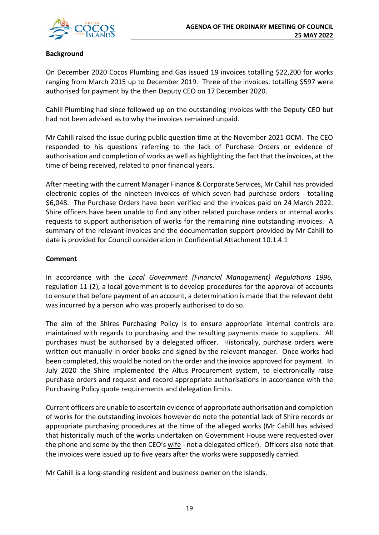## **Background**

On December 2020 Cocos Plumbing and Gas issued 19 invoices totalling \$22,200 for works ranging from March 2015 up to December 2019. Three of the invoices, totalling \$597 were authorised for payment by the then Deputy CEO on 17December 2020.

Cahill Plumbing had since followed up on the outstanding invoices with the Deputy CEO but had not been advised as to why the invoices remained unpaid.

Mr Cahill raised the issue during public question time at the November 2021 OCM. The CEO responded to his questions referring to the lack of Purchase Orders or evidence of authorisation and completion of works as well as highlighting the fact that the invoices, at the time of being received, related to prior financial years.

After meeting with the current Manager Finance & Corporate Services, Mr Cahill has provided electronic copies of the nineteen invoices of which seven had purchase orders - totalling \$6,048. The Purchase Orders have been verified and the invoices paid on 24 March 2022. Shire officers have been unable to find any other related purchase orders or internal works requests to support authorisation of works for the remaining nine outstanding invoices. A summary of the relevant invoices and the documentation support provided by Mr Cahill to date is provided for Council consideration in Confidential Attachment 10.1.4.1

#### **Comment**

In accordance with the *Local Government (Financial Management) Regulations 1996,* regulation 11 (2), a local government is to develop procedures for the approval of accounts to ensure that before payment of an account, a determination is made that the relevant debt was incurred by a person who was properly authorised to do so.

The aim of the Shires Purchasing Policy is to ensure appropriate internal controls are maintained with regards to purchasing and the resulting payments made to suppliers. All purchases must be authorised by a delegated officer. Historically, purchase orders were written out manually in order books and signed by the relevant manager. Once works had been completed, this would be noted on the order and the invoice approved for payment. In July 2020 the Shire implemented the Altus Procurement system, to electronically raise purchase orders and request and record appropriate authorisations in accordance with the Purchasing Policy quote requirements and delegation limits.

Current officers are unable to ascertain evidence of appropriate authorisation and completion of works for the outstanding invoices however do note the potential lack of Shire records or appropriate purchasing procedures at the time of the alleged works (Mr Cahill has advised that historically much of the works undertaken on Government House were requested over the phone and some by the then CEO's wife - not a delegated officer). Officers also note that the invoices were issued up to five years after the works were supposedly carried.

Mr Cahill is a long-standing resident and business owner on the Islands.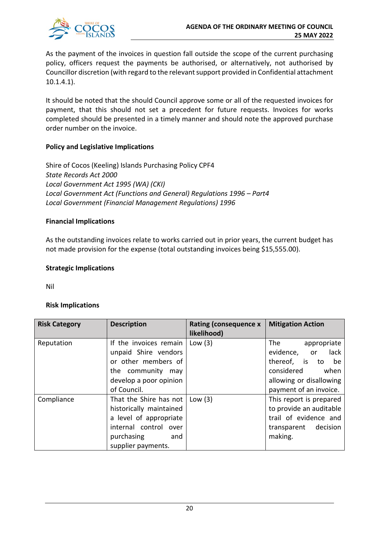

As the payment of the invoices in question fall outside the scope of the current purchasing policy, officers request the payments be authorised, or alternatively, not authorised by Councillor discretion (with regard to the relevant support provided in Confidential attachment 10.1.4.1).

It should be noted that the should Council approve some or all of the requested invoices for payment, that this should not set a precedent for future requests. Invoices for works completed should be presented in a timely manner and should note the approved purchase order number on the invoice.

#### **Policy and Legislative Implications**

Shire of Cocos (Keeling) Islands Purchasing Policy CPF4 *State Records Act 2000 Local Government Act 1995 (WA) (CKI) Local Government Act (Functions and General) Regulations 1996 – Part4 Local Government (Financial Management Regulations) 1996*

#### **Financial Implications**

As the outstanding invoices relate to works carried out in prior years, the current budget has not made provision for the expense (total outstanding invoices being \$15,555.00).

#### **Strategic Implications**

Nil

#### **Risk Implications**

| <b>Risk Category</b> | <b>Description</b>                                                                                                                              | <b>Rating (consequence x</b><br>likelihood) | <b>Mitigation Action</b>                                                                                                                         |
|----------------------|-------------------------------------------------------------------------------------------------------------------------------------------------|---------------------------------------------|--------------------------------------------------------------------------------------------------------------------------------------------------|
| Reputation           | If the invoices remain<br>unpaid Shire vendors<br>or other members of<br>the community may<br>develop a poor opinion<br>of Council.             | Low $(3)$                                   | The<br>appropriate<br>evidence,<br>lack<br>or<br>thereof, is<br>to be<br>considered<br>when<br>allowing or disallowing<br>payment of an invoice. |
| Compliance           | That the Shire has not<br>historically maintained<br>a level of appropriate<br>internal control over<br>purchasing<br>and<br>supplier payments. | Low $(3)$                                   | This report is prepared<br>to provide an auditable<br>trail of evidence and<br>transparent decision<br>making.                                   |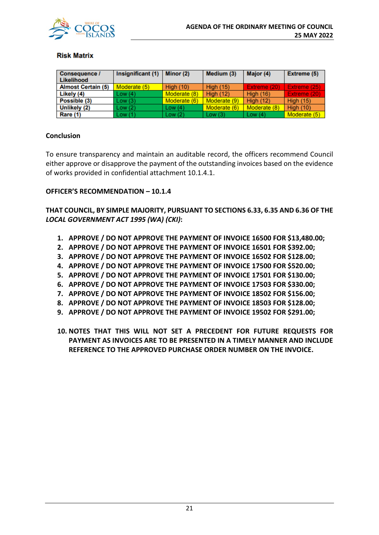

#### **Risk Matrix**

| <b>Consequence /</b><br>Likelihood | Insignificant (1) | Minor (2)    | Medium (3)       | Major (4)        | Extreme (5)      |
|------------------------------------|-------------------|--------------|------------------|------------------|------------------|
| <b>Almost Certain (5)</b>          | Moderate (5)      | High $(10)$  | <b>High (15)</b> | Extreme (20)     | Extreme (25)     |
| Likely (4)                         | Low(4)            | Moderate (8) | <b>High (12)</b> | <b>High (16)</b> | Extreme (20)     |
| Possible (3)                       | Low(3)            | Moderate (6) | Moderate (9)     | <b>High (12)</b> | <b>High (15)</b> |
| Unlikely (2)                       | Low(2)            | Low(4)       | Moderate (6)     | Moderate (8)     | <b>High (10)</b> |
| Rare (1)                           | Low(1)            | Low $(2)$    | Low $(3)$        | Low $(4)$        | Moderate (5)     |

#### **Conclusion**

To ensure transparency and maintain an auditable record, the officers recommend Council either approve or disapprove the payment of the outstanding invoices based on the evidence of works provided in confidential attachment 10.1.4.1.

#### **OFFICER'S RECOMMENDATION – 10.1.4**

**THAT COUNCIL, BY SIMPLE MAJORITY, PURSUANT TO SECTIONS 6.33, 6.35 AND 6.36 OF THE**  *LOCAL GOVERNMENT ACT 1995 (WA) (CKI)***:**

- **1. APPROVE / DO NOT APPROVE THE PAYMENT OF INVOICE 16500 FOR \$13,480.00;**
- **2. APPROVE / DO NOT APPROVE THE PAYMENT OF INVOICE 16501 FOR \$392.00;**
- **3. APPROVE / DO NOT APPROVE THE PAYMENT OF INVOICE 16502 FOR \$128.00;**
- **4. APPROVE / DO NOT APPROVE THE PAYMENT OF INVOICE 17500 FOR \$520.00;**
- **5. APPROVE / DO NOT APPROVE THE PAYMENT OF INVOICE 17501 FOR \$130.00;**
- **6. APPROVE / DO NOT APPROVE THE PAYMENT OF INVOICE 17503 FOR \$330.00;**
- **7. APPROVE / DO NOT APPROVE THE PAYMENT OF INVOICE 18502 FOR \$156.00;**
- **8. APPROVE / DO NOT APPROVE THE PAYMENT OF INVOICE 18503 FOR \$128.00;**
- **9. APPROVE / DO NOT APPROVE THE PAYMENT OF INVOICE 19502 FOR \$291.00;**
- **10. NOTES THAT THIS WILL NOT SET A PRECEDENT FOR FUTURE REQUESTS FOR PAYMENT AS INVOICES ARE TO BE PRESENTED IN A TIMELY MANNER AND INCLUDE REFERENCE TO THE APPROVED PURCHASE ORDER NUMBER ON THE INVOICE.**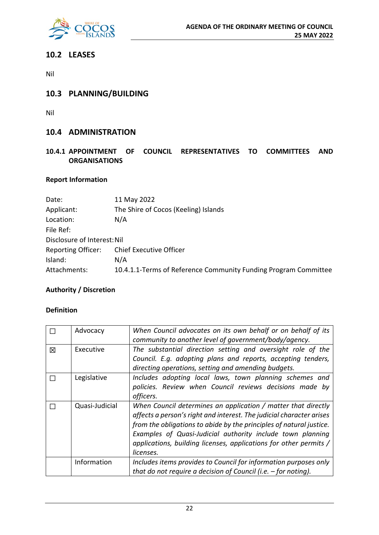

## **10.2 LEASES**

Nil

## **10.3 PLANNING/BUILDING**

Nil

## **10.4 ADMINISTRATION**

## **10.4.1 APPOINTMENT OF COUNCIL REPRESENTATIVES TO COMMITTEES AND ORGANISATIONS**

## **Report Information**

| Date:                       | 11 May 2022                                                     |
|-----------------------------|-----------------------------------------------------------------|
| Applicant:                  | The Shire of Cocos (Keeling) Islands                            |
| Location:                   | N/A                                                             |
| File Ref:                   |                                                                 |
| Disclosure of Interest: Nil |                                                                 |
| <b>Reporting Officer:</b>   | <b>Chief Executive Officer</b>                                  |
| Island:                     | N/A                                                             |
| Attachments:                | 10.4.1.1-Terms of Reference Community Funding Program Committee |
|                             |                                                                 |

## **Authority / Discretion**

## **Definition**

|   | Advocacy       | When Council advocates on its own behalf or on behalf of its<br>community to another level of government/body/agency. |
|---|----------------|-----------------------------------------------------------------------------------------------------------------------|
|   |                |                                                                                                                       |
| 図 | Executive      | The substantial direction setting and oversight role of the                                                           |
|   |                | Council. E.g. adopting plans and reports, accepting tenders,                                                          |
|   |                | directing operations, setting and amending budgets.                                                                   |
|   | Legislative    | Includes adopting local laws, town planning schemes and                                                               |
|   |                | policies. Review when Council reviews decisions made by                                                               |
|   |                | officers.                                                                                                             |
|   | Quasi-Judicial | When Council determines an application / matter that directly                                                         |
|   |                | affects a person's right and interest. The judicial character arises                                                  |
|   |                | from the obligations to abide by the principles of natural justice.                                                   |
|   |                | Examples of Quasi-Judicial authority include town planning                                                            |
|   |                | applications, building licenses, applications for other permits /                                                     |
|   |                | licenses.                                                                                                             |
|   | Information    | Includes items provides to Council for information purposes only                                                      |
|   |                | that do not require a decision of Council (i.e. $-$ for noting).                                                      |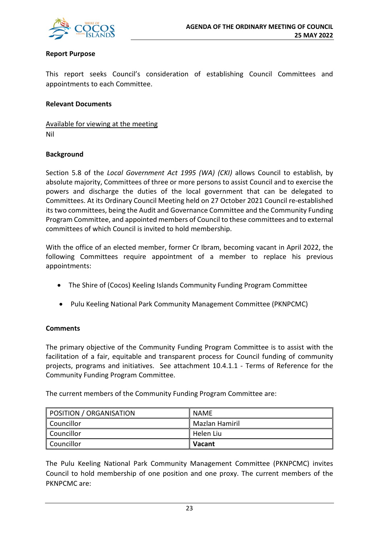

#### **Report Purpose**

This report seeks Council's consideration of establishing Council Committees and appointments to each Committee.

#### **Relevant Documents**

Available for viewing at the meeting Nil

#### **Background**

Section 5.8 of the *Local Government Act 1995 (WA) (CKI)* allows Council to establish, by absolute majority, Committees of three or more persons to assist Council and to exercise the powers and discharge the duties of the local government that can be delegated to Committees. At its Ordinary Council Meeting held on 27 October 2021 Council re-established its two committees, being the Audit and Governance Committee and the Community Funding Program Committee, and appointed members of Council to these committees and to external committees of which Council is invited to hold membership.

With the office of an elected member, former Cr Ibram, becoming vacant in April 2022, the following Committees require appointment of a member to replace his previous appointments:

- The Shire of (Cocos) Keeling Islands Community Funding Program Committee
- Pulu Keeling National Park Community Management Committee (PKNPCMC)

#### **Comments**

The primary objective of the Community Funding Program Committee is to assist with the facilitation of a fair, equitable and transparent process for Council funding of community projects, programs and initiatives. See attachment 10.4.1.1 - Terms of Reference for the Community Funding Program Committee.

The current members of the Community Funding Program Committee are:

| POSITION / ORGANISATION | NAME           |
|-------------------------|----------------|
| Councillor              | Mazlan Hamiril |
| Councillor              | Helen Liu      |
| Councillor              | <b>Vacant</b>  |

The Pulu Keeling National Park Community Management Committee (PKNPCMC) invites Council to hold membership of one position and one proxy. The current members of the PKNPCMC are: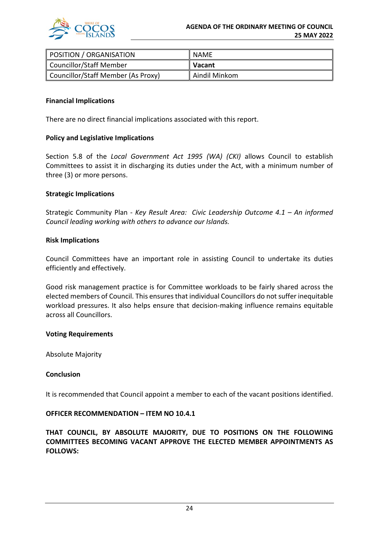

| POSITION / ORGANISATION            | <b>NAME</b>   |
|------------------------------------|---------------|
| Councillor/Staff Member            | <b>Vacant</b> |
| Councillor/Staff Member (As Proxy) | Aindil Minkom |

#### **Financial Implications**

There are no direct financial implications associated with this report.

#### **Policy and Legislative Implications**

Section 5.8 of the *Local Government Act 1995 (WA) (CKI)* allows Council to establish Committees to assist it in discharging its duties under the Act, with a minimum number of three (3) or more persons.

#### **Strategic Implications**

Strategic Community Plan - *Key Result Area: Civic Leadership Outcome 4.1 – An informed Council leading working with others to advance our Islands.*

#### **Risk Implications**

Council Committees have an important role in assisting Council to undertake its duties efficiently and effectively.

Good risk management practice is for Committee workloads to be fairly shared across the elected members of Council. This ensures that individual Councillors do not suffer inequitable workload pressures. It also helps ensure that decision-making influence remains equitable across all Councillors.

#### **Voting Requirements**

Absolute Majority

#### **Conclusion**

It is recommended that Council appoint a member to each of the vacant positions identified.

#### **OFFICER RECOMMENDATION – ITEM NO 10.4.1**

**THAT COUNCIL, BY ABSOLUTE MAJORITY, DUE TO POSITIONS ON THE FOLLOWING COMMITTEES BECOMING VACANT APPROVE THE ELECTED MEMBER APPOINTMENTS AS FOLLOWS:**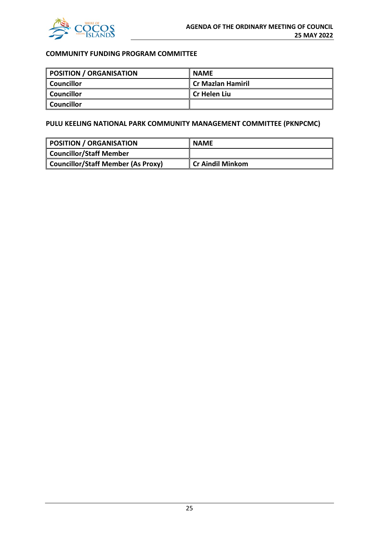

## **COMMUNITY FUNDING PROGRAM COMMITTEE**

| POSITION / ORGANISATION | <b>NAME</b>              |
|-------------------------|--------------------------|
| Councillor              | <b>Cr Mazlan Hamiril</b> |
| Councillor              | l Cr Helen Liu           |
| <b>Councillor</b>       |                          |

## **PULU KEELING NATIONAL PARK COMMUNITY MANAGEMENT COMMITTEE (PKNPCMC)**

| POSITION / ORGANISATION            | <b>NAME</b>             |
|------------------------------------|-------------------------|
| <b>Councillor/Staff Member</b>     |                         |
| Councillor/Staff Member (As Proxy) | <b>Cr Aindil Minkom</b> |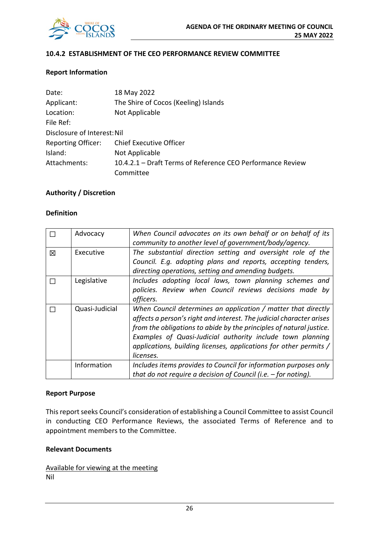

#### **10.4.2 ESTABLISHMENT OF THE CEO PERFORMANCE REVIEW COMMITTEE**

#### **Report Information**

| Date:                       | 18 May 2022                                                |
|-----------------------------|------------------------------------------------------------|
| Applicant:                  | The Shire of Cocos (Keeling) Islands                       |
| Location:                   | Not Applicable                                             |
| File Ref:                   |                                                            |
| Disclosure of Interest: Nil |                                                            |
| <b>Reporting Officer:</b>   | <b>Chief Executive Officer</b>                             |
| Island:                     | Not Applicable                                             |
| Attachments:                | 10.4.2.1 – Draft Terms of Reference CEO Performance Review |
|                             | Committee                                                  |

#### **Authority / Discretion**

#### **Definition**

|   | Advocacy       | When Council advocates on its own behalf or on behalf of its         |
|---|----------------|----------------------------------------------------------------------|
|   |                | community to another level of government/body/agency.                |
| 冈 | Executive      | The substantial direction setting and oversight role of the          |
|   |                | Council. E.g. adopting plans and reports, accepting tenders,         |
|   |                | directing operations, setting and amending budgets.                  |
|   | Legislative    | Includes adopting local laws, town planning schemes and              |
|   |                | policies. Review when Council reviews decisions made by              |
|   |                | officers.                                                            |
|   | Quasi-Judicial | When Council determines an application / matter that directly        |
|   |                | affects a person's right and interest. The judicial character arises |
|   |                | from the obligations to abide by the principles of natural justice.  |
|   |                | Examples of Quasi-Judicial authority include town planning           |
|   |                | applications, building licenses, applications for other permits /    |
|   |                | licenses.                                                            |
|   | Information    | Includes items provides to Council for information purposes only     |
|   |                | that do not require a decision of Council (i.e. $-$ for noting).     |

#### **Report Purpose**

This report seeks Council's consideration of establishing a Council Committee to assist Council in conducting CEO Performance Reviews, the associated Terms of Reference and to appointment members to the Committee.

#### **Relevant Documents**

Available for viewing at the meeting Nil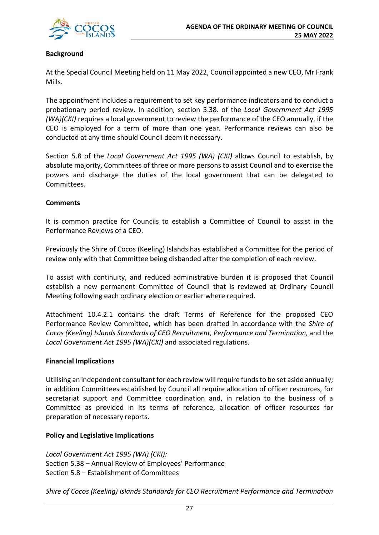

#### **Background**

At the Special Council Meeting held on 11 May 2022, Council appointed a new CEO, Mr Frank Mills.

The appointment includes a requirement to set key performance indicators and to conduct a probationary period review. In addition, section 5.38. of the *Local Government Act 1995 (WA)(CKI)* requires a local government to review the performance of the CEO annually, if the CEO is employed for a term of more than one year. Performance reviews can also be conducted at any time should Council deem it necessary.

Section 5.8 of the *Local Government Act 1995 (WA) (CKI)* allows Council to establish, by absolute majority, Committees of three or more persons to assist Council and to exercise the powers and discharge the duties of the local government that can be delegated to Committees.

#### **Comments**

It is common practice for Councils to establish a Committee of Council to assist in the Performance Reviews of a CEO.

Previously the Shire of Cocos (Keeling) Islands has established a Committee for the period of review only with that Committee being disbanded after the completion of each review.

To assist with continuity, and reduced administrative burden it is proposed that Council establish a new permanent Committee of Council that is reviewed at Ordinary Council Meeting following each ordinary election or earlier where required.

Attachment 10.4.2.1 contains the draft Terms of Reference for the proposed CEO Performance Review Committee, which has been drafted in accordance with the *Shire of Cocos (Keeling) Islands Standards of CEO Recruitment, Performance and Termination,* and the *Local Government Act 1995 (WA)(CKI)* and associated regulations.

#### **Financial Implications**

Utilising an independent consultant for each review will require funds to be set aside annually; in addition Committees established by Council all require allocation of officer resources, for secretariat support and Committee coordination and, in relation to the business of a Committee as provided in its terms of reference, allocation of officer resources for preparation of necessary reports.

#### **Policy and Legislative Implications**

*Local Government Act 1995 (WA) (CKI):* Section 5.38 – Annual Review of Employees' Performance Section 5.8 – Establishment of Committees

*Shire of Cocos (Keeling) Islands Standards for CEO Recruitment Performance and Termination*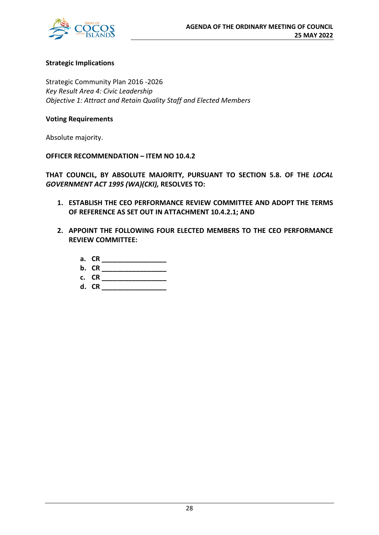

#### **Strategic Implications**

Strategic Community Plan 2016 -2026 *Key Result Area 4: Civic Leadership Objective 1: Attract and Retain Quality Staff and Elected Members*

#### **Voting Requirements**

Absolute majority.

**OFFICER RECOMMENDATION – ITEM NO 10.4.2**

**THAT COUNCIL, BY ABSOLUTE MAJORITY, PURSUANT TO SECTION 5.8. OF THE** *LOCAL GOVERNMENT ACT 1995 (WA)(CKI),* **RESOLVES TO:**

- **1. ESTABLISH THE CEO PERFORMANCE REVIEW COMMITTEE AND ADOPT THE TERMS OF REFERENCE AS SET OUT IN ATTACHMENT 10.4.2.1; AND**
- **2. APPOINT THE FOLLOWING FOUR ELECTED MEMBERS TO THE CEO PERFORMANCE REVIEW COMMITTEE:**
	- **a. CR \_\_\_\_\_\_\_\_\_\_\_\_\_\_\_\_\_**
	- **b. CR \_\_\_\_\_\_\_\_\_\_\_\_\_\_\_\_\_**
	- **c. CR \_\_\_\_\_\_\_\_\_\_\_\_\_\_\_\_\_**
	- **d. CR \_\_\_\_\_\_\_\_\_\_\_\_\_\_\_\_\_**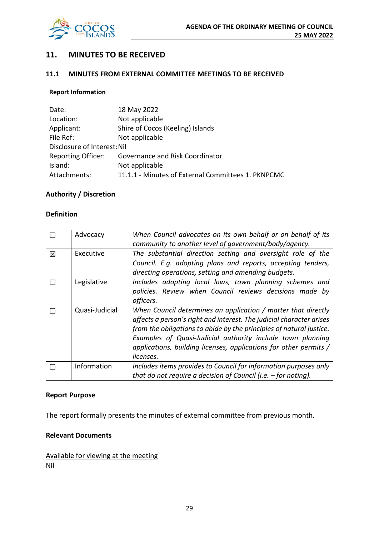

## **11. MINUTES TO BE RECEIVED**

#### **11.1 MINUTES FROM EXTERNAL COMMITTEE MEETINGS TO BE RECEIVED**

#### **Report Information**

| Date:                       | 18 May 2022                                        |
|-----------------------------|----------------------------------------------------|
| Location:                   | Not applicable                                     |
| Applicant:                  | Shire of Cocos (Keeling) Islands                   |
| File Ref:                   | Not applicable                                     |
| Disclosure of Interest: Nil |                                                    |
| <b>Reporting Officer:</b>   | Governance and Risk Coordinator                    |
| Island:                     | Not applicable                                     |
| Attachments:                | 11.1.1 - Minutes of External Committees 1. PKNPCMC |

## **Authority / Discretion**

#### **Definition**

|   | Advocacy       | When Council advocates on its own behalf or on behalf of its         |
|---|----------------|----------------------------------------------------------------------|
|   |                | community to another level of government/body/agency.                |
| 冈 | Executive      | The substantial direction setting and oversight role of the          |
|   |                | Council. E.g. adopting plans and reports, accepting tenders,         |
|   |                | directing operations, setting and amending budgets.                  |
|   | Legislative    | Includes adopting local laws, town planning schemes and              |
|   |                | policies. Review when Council reviews decisions made by              |
|   |                | officers.                                                            |
|   |                |                                                                      |
|   | Quasi-Judicial | When Council determines an application / matter that directly        |
|   |                | affects a person's right and interest. The judicial character arises |
|   |                | from the obligations to abide by the principles of natural justice.  |
|   |                | Examples of Quasi-Judicial authority include town planning           |
|   |                | applications, building licenses, applications for other permits /    |
|   |                | licenses.                                                            |
|   | Information    | Includes items provides to Council for information purposes only     |

#### **Report Purpose**

The report formally presents the minutes of external committee from previous month.

#### **Relevant Documents**

Available for viewing at the meeting Nil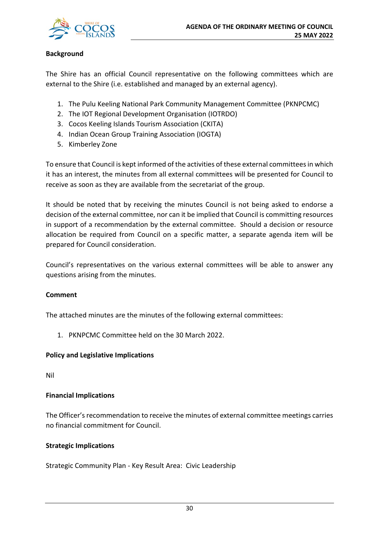

#### **Background**

The Shire has an official Council representative on the following committees which are external to the Shire (i.e. established and managed by an external agency).

- 1. The Pulu Keeling National Park Community Management Committee (PKNPCMC)
- 2. The IOT Regional Development Organisation (IOTRDO)
- 3. Cocos Keeling Islands Tourism Association (CKITA)
- 4. Indian Ocean Group Training Association (IOGTA)
- 5. Kimberley Zone

To ensure that Council is kept informed of the activities of these external committees in which it has an interest, the minutes from all external committees will be presented for Council to receive as soon as they are available from the secretariat of the group.

It should be noted that by receiving the minutes Council is not being asked to endorse a decision of the external committee, nor can it be implied that Council is committing resources in support of a recommendation by the external committee. Should a decision or resource allocation be required from Council on a specific matter, a separate agenda item will be prepared for Council consideration.

Council's representatives on the various external committees will be able to answer any questions arising from the minutes.

#### **Comment**

The attached minutes are the minutes of the following external committees:

1. PKNPCMC Committee held on the 30 March 2022.

#### **Policy and Legislative Implications**

Nil

#### **Financial Implications**

The Officer's recommendation to receive the minutes of external committee meetings carries no financial commitment for Council.

#### **Strategic Implications**

Strategic Community Plan - Key Result Area: Civic Leadership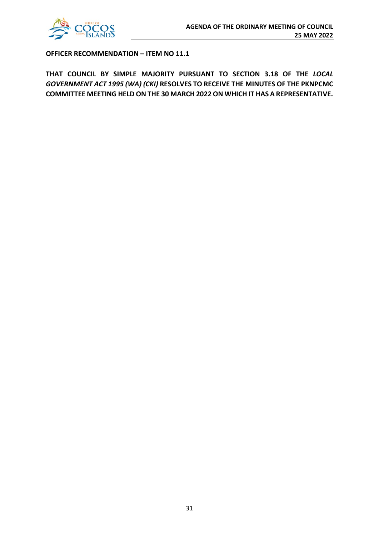

**OFFICER RECOMMENDATION – ITEM NO 11.1**

**THAT COUNCIL BY SIMPLE MAJORITY PURSUANT TO SECTION 3.18 OF THE** *LOCAL GOVERNMENT ACT 1995 (WA) (CKI)* **RESOLVES TO RECEIVE THE MINUTES OF THE PKNPCMC COMMITTEE MEETING HELD ON THE 30 MARCH 2022 ON WHICH IT HAS A REPRESENTATIVE.**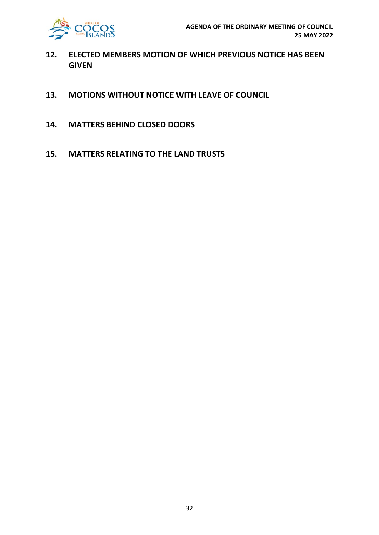

- **12. ELECTED MEMBERS MOTION OF WHICH PREVIOUS NOTICE HAS BEEN GIVEN**
- **13. MOTIONS WITHOUT NOTICE WITH LEAVE OF COUNCIL**
- **14. MATTERS BEHIND CLOSED DOORS**
- **15. MATTERS RELATING TO THE LAND TRUSTS**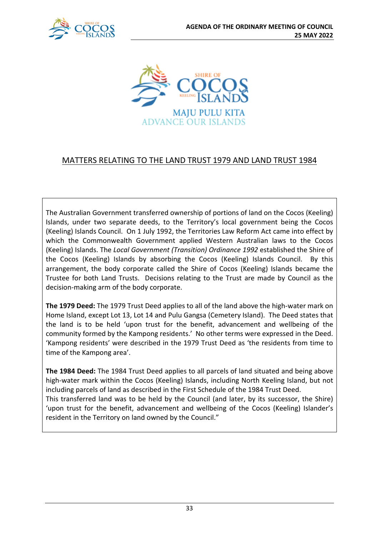



## MATTERS RELATING TO THE LAND TRUST 1979 AND LAND TRUST 1984

The Australian Government transferred ownership of portions of land on the Cocos (Keeling) Islands, under two separate deeds, to the Territory's local government being the Cocos (Keeling) Islands Council. On 1 July 1992, the Territories Law Reform Act came into effect by which the Commonwealth Government applied Western Australian laws to the Cocos (Keeling) Islands. The *Local Government (Transition) Ordinance 1992* established the Shire of the Cocos (Keeling) Islands by absorbing the Cocos (Keeling) Islands Council. By this arrangement, the body corporate called the Shire of Cocos (Keeling) Islands became the Trustee for both Land Trusts. Decisions relating to the Trust are made by Council as the decision-making arm of the body corporate.

**The 1979 Deed:** The 1979 Trust Deed applies to all of the land above the high-water mark on Home Island, except Lot 13, Lot 14 and Pulu Gangsa (Cemetery Island). The Deed states that the land is to be held 'upon trust for the benefit, advancement and wellbeing of the community formed by the Kampong residents.' No other terms were expressed in the Deed. 'Kampong residents' were described in the 1979 Trust Deed as 'the residents from time to time of the Kampong area'.

**The 1984 Deed:** The 1984 Trust Deed applies to all parcels of land situated and being above high-water mark within the Cocos (Keeling) Islands, including North Keeling Island, but not including parcels of land as described in the First Schedule of the 1984 Trust Deed. This transferred land was to be held by the Council (and later, by its successor, the Shire) 'upon trust for the benefit, advancement and wellbeing of the Cocos (Keeling) Islander's resident in the Territory on land owned by the Council."